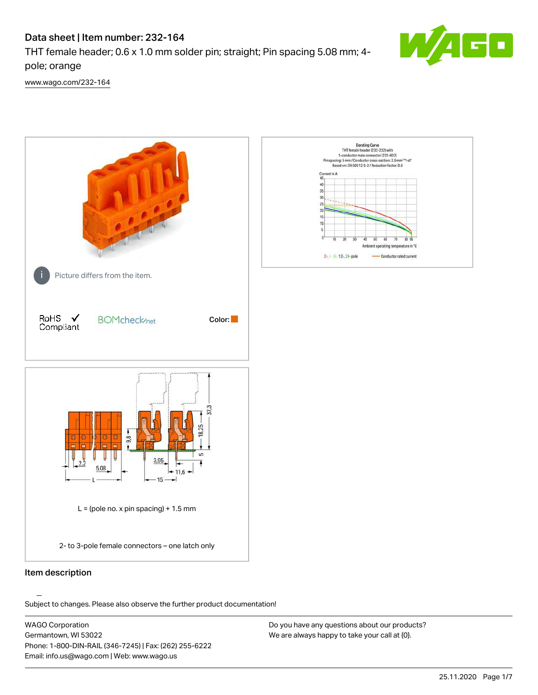# Data sheet | Item number: 232-164

THT female header; 0.6 x 1.0 mm solder pin; straight; Pin spacing 5.08 mm; 4 pole; orange



[www.wago.com/232-164](http://www.wago.com/232-164)



# Item description

.<br>Subject to changes. Please also observe the further product documentation!

WAGO Corporation Germantown, WI 53022 Phone: 1-800-DIN-RAIL (346-7245) | Fax: (262) 255-6222 Email: info.us@wago.com | Web: www.wago.us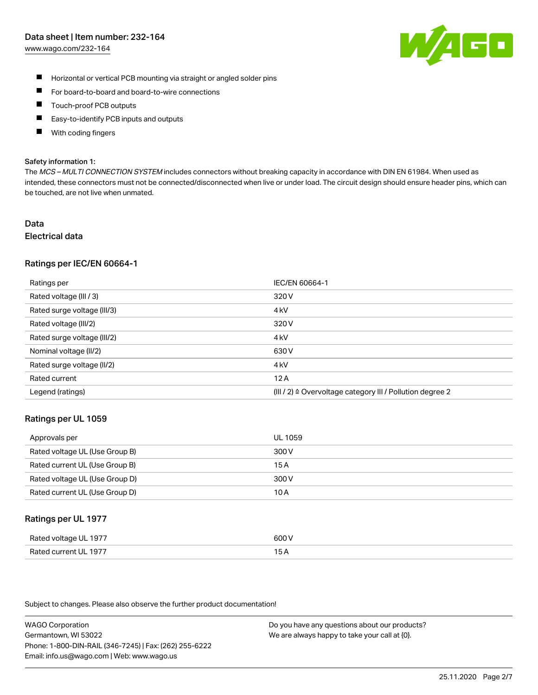# Data sheet | Item number: 232-164

[www.wago.com/232-164](http://www.wago.com/232-164)



- $\blacksquare$ Horizontal or vertical PCB mounting via straight or angled solder pins
- $\blacksquare$ For board-to-board and board-to-wire connections
- Touch-proof PCB outputs  $\blacksquare$
- П Easy-to-identify PCB inputs and outputs
- П With coding fingers

#### Safety information 1:

The MCS - MULTI CONNECTION SYSTEM includes connectors without breaking capacity in accordance with DIN EN 61984. When used as intended, these connectors must not be connected/disconnected when live or under load. The circuit design should ensure header pins, which can be touched, are not live when unmated.

# Data

# Electrical data

#### Ratings per IEC/EN 60664-1

| Ratings per                 | IEC/EN 60664-1                                            |
|-----------------------------|-----------------------------------------------------------|
| Rated voltage (III / 3)     | 320 V                                                     |
| Rated surge voltage (III/3) | 4 <sub>k</sub> V                                          |
| Rated voltage (III/2)       | 320 V                                                     |
| Rated surge voltage (III/2) | 4 <sub>k</sub> V                                          |
| Nominal voltage (II/2)      | 630 V                                                     |
| Rated surge voltage (II/2)  | 4 <sub>k</sub> V                                          |
| Rated current               | 12A                                                       |
| Legend (ratings)            | (III / 2) ≙ Overvoltage category III / Pollution degree 2 |

#### Ratings per UL 1059

| Approvals per                  | UL 1059 |
|--------------------------------|---------|
| Rated voltage UL (Use Group B) | 300 V   |
| Rated current UL (Use Group B) | 15 A    |
| Rated voltage UL (Use Group D) | 300 V   |
| Rated current UL (Use Group D) | 10 A    |

# Ratings per UL 1977

| Rated voltage UL 1977    | coo V       |
|--------------------------|-------------|
| Current UL 1977<br>Rated | ، ت<br>____ |

Subject to changes. Please also observe the further product documentation!

WAGO Corporation Germantown, WI 53022 Phone: 1-800-DIN-RAIL (346-7245) | Fax: (262) 255-6222 Email: info.us@wago.com | Web: www.wago.us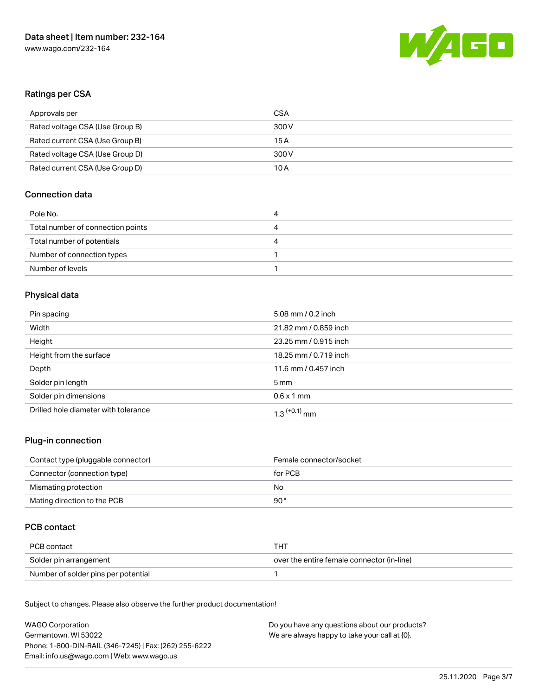

# Ratings per CSA

| Approvals per                   | CSA   |
|---------------------------------|-------|
| Rated voltage CSA (Use Group B) | 300 V |
| Rated current CSA (Use Group B) | 15 A  |
| Rated voltage CSA (Use Group D) | 300 V |
| Rated current CSA (Use Group D) | 10 A  |

# Connection data

| Pole No.                          | 4 |
|-----------------------------------|---|
| Total number of connection points | 4 |
| Total number of potentials        | 4 |
| Number of connection types        |   |
| Number of levels                  |   |

# Physical data

| Pin spacing                          | 5.08 mm / 0.2 inch         |
|--------------------------------------|----------------------------|
| Width                                | 21.82 mm / 0.859 inch      |
| Height                               | 23.25 mm / 0.915 inch      |
| Height from the surface              | 18.25 mm / 0.719 inch      |
| Depth                                | 11.6 mm / 0.457 inch       |
| Solder pin length                    | 5 mm                       |
| Solder pin dimensions                | $0.6 \times 1$ mm          |
| Drilled hole diameter with tolerance | $1.3$ <sup>(+0.1)</sup> mm |

# Plug-in connection

| Contact type (pluggable connector) | Female connector/socket |
|------------------------------------|-------------------------|
| Connector (connection type)        | for PCB                 |
| Mismating protection               | No                      |
| Mating direction to the PCB        | 90 °                    |

# PCB contact

| PCB contact                         | THT                                        |
|-------------------------------------|--------------------------------------------|
| Solder pin arrangement              | over the entire female connector (in-line) |
| Number of solder pins per potential |                                            |

Subject to changes. Please also observe the further product documentation! Material Data

| WAGO Corporation                                       | Do you have any questions about our products? |
|--------------------------------------------------------|-----------------------------------------------|
| Germantown, WI 53022                                   | We are always happy to take your call at {0}. |
| Phone: 1-800-DIN-RAIL (346-7245)   Fax: (262) 255-6222 |                                               |
| Email: info.us@wago.com   Web: www.wago.us             |                                               |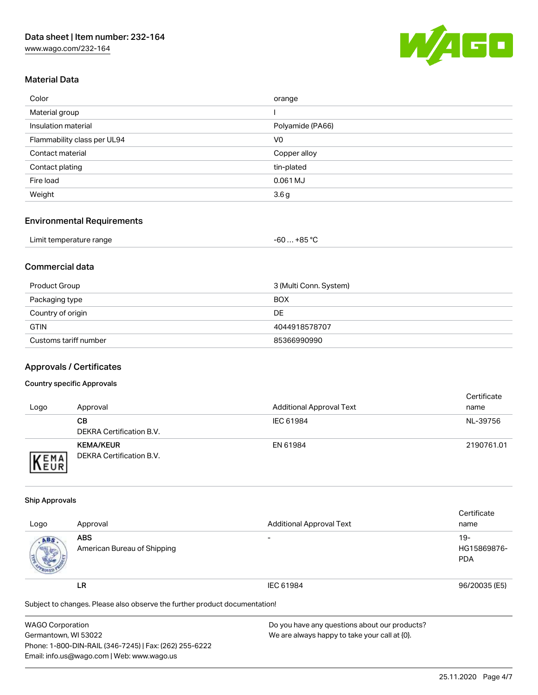[www.wago.com/232-164](http://www.wago.com/232-164)



# Material Data

| Color                       | orange           |
|-----------------------------|------------------|
| Material group              |                  |
| Insulation material         | Polyamide (PA66) |
| Flammability class per UL94 | V <sub>0</sub>   |
| Contact material            | Copper alloy     |
| Contact plating             | tin-plated       |
| Fire load                   | 0.061 MJ         |
| Weight                      | 3.6 <sub>g</sub> |

# Environmental Requirements

| Limit temperature range | $+85 °C$<br>-60 |  |
|-------------------------|-----------------|--|
|-------------------------|-----------------|--|

# Commercial data

| Product Group         | 3 (Multi Conn. System) |
|-----------------------|------------------------|
| Packaging type        | <b>BOX</b>             |
| Country of origin     | DE                     |
| <b>GTIN</b>           | 4044918578707          |
| Customs tariff number | 85366990990            |

# Approvals / Certificates

#### Country specific Approvals

| Logo                | Approval                                     | <b>Additional Approval Text</b> | Certificate<br>name |
|---------------------|----------------------------------------------|---------------------------------|---------------------|
|                     | CВ<br>DEKRA Certification B.V.               | IEC 61984                       | NL-39756            |
| EMA<br><b>INEUR</b> | <b>KEMA/KEUR</b><br>DEKRA Certification B.V. | EN 61984                        | 2190761.01          |

#### Ship Approvals

|      |                                                                            |                                 | Certificate   |
|------|----------------------------------------------------------------------------|---------------------------------|---------------|
| Logo | Approval                                                                   | <b>Additional Approval Text</b> | name          |
| ABS. | <b>ABS</b>                                                                 | $\overline{\phantom{a}}$        | 19-           |
|      | American Bureau of Shipping                                                |                                 | HG15869876-   |
|      |                                                                            |                                 | <b>PDA</b>    |
|      |                                                                            |                                 |               |
|      | LR                                                                         | IEC 61984                       | 96/20035 (E5) |
|      |                                                                            |                                 |               |
|      | Subject to changes. Please also observe the further product documentation! |                                 |               |
|      |                                                                            |                                 |               |

| <b>WAGO Corporation</b>                                | Do you have any questions about our products? |
|--------------------------------------------------------|-----------------------------------------------|
| Germantown, WI 53022                                   | We are always happy to take your call at {0}. |
| Phone: 1-800-DIN-RAIL (346-7245)   Fax: (262) 255-6222 |                                               |
| Email: info.us@wago.com   Web: www.wago.us             |                                               |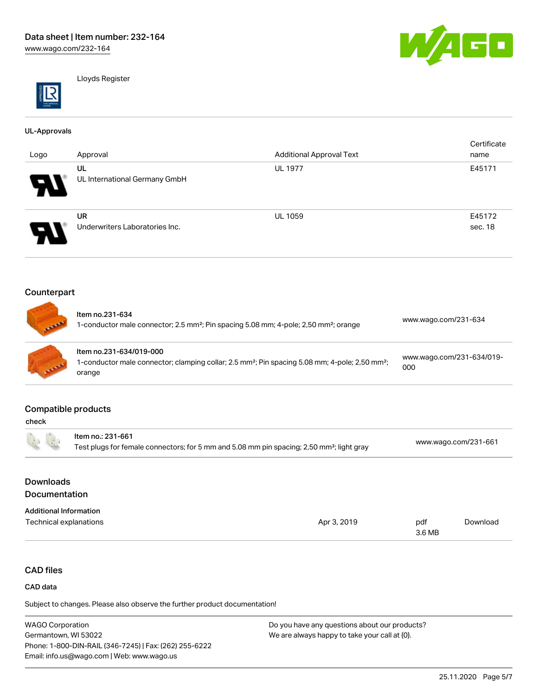

Lloyds Register

#### UL-Approvals

|      |                                |                                 | Certificate |
|------|--------------------------------|---------------------------------|-------------|
| Logo | Approval                       | <b>Additional Approval Text</b> | name        |
|      | UL                             | <b>UL 1977</b>                  | E45171      |
| W    | UL International Germany GmbH  |                                 |             |
|      | <b>UR</b>                      | <b>UL 1059</b>                  | E45172      |
| A.   | Underwriters Laboratories Inc. |                                 | sec. 18     |

# Counterpart

| <b>STATE</b>    | Item no.231-634<br>1-conductor male connector; 2.5 mm <sup>2</sup> ; Pin spacing 5.08 mm; 4-pole; 2,50 mm <sup>2</sup> ; orange                             | www.wago.com/231-634             |
|-----------------|-------------------------------------------------------------------------------------------------------------------------------------------------------------|----------------------------------|
| <b>CARLES A</b> | Item no.231-634/019-000<br>1-conductor male connector; clamping collar; 2.5 mm <sup>2</sup> ; Pin spacing 5.08 mm; 4-pole; 2,50 mm <sup>2</sup> ;<br>orange | www.wago.com/231-634/019-<br>000 |

#### Compatible products

| 医                                                     | Item no.: 231-661<br>Test plugs for female connectors; for 5 mm and 5.08 mm pin spacing; 2,50 mm <sup>2</sup> ; light gray |             |        | www.wago.com/231-661 |  |
|-------------------------------------------------------|----------------------------------------------------------------------------------------------------------------------------|-------------|--------|----------------------|--|
| <b>Downloads</b>                                      |                                                                                                                            |             |        |                      |  |
| <b>Documentation</b><br><b>Additional Information</b> |                                                                                                                            |             |        |                      |  |
| Technical explanations                                |                                                                                                                            | Apr 3, 2019 | pdf    | Download             |  |
|                                                       |                                                                                                                            |             | 3.6 MB |                      |  |

# CAD files

# CAD data

Subject to changes. Please also observe the further product documentation!

WAGO Corporation Germantown, WI 53022 Phone: 1-800-DIN-RAIL (346-7245) | Fax: (262) 255-6222 Email: info.us@wago.com | Web: www.wago.us Do you have any questions about our products? We are always happy to take your call at {0}.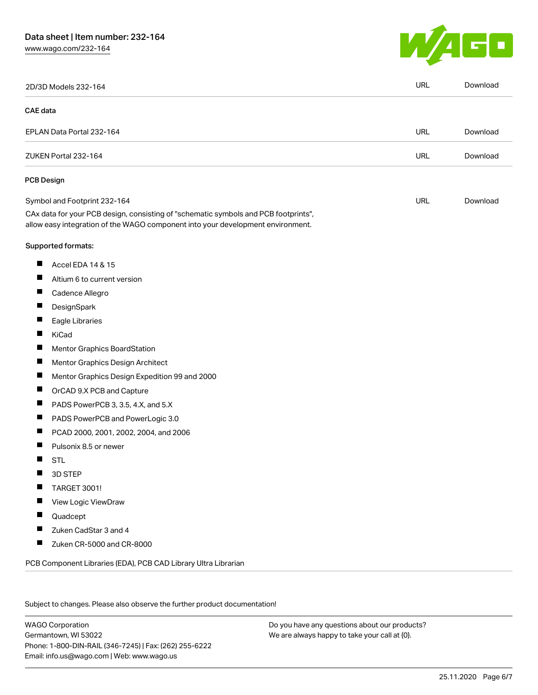# Data sheet | Item number: 232-164

[www.wago.com/232-164](http://www.wago.com/232-164)



|                | 2D/3D Models 232-164                                                                                                                                                   | <b>URL</b> | Download |
|----------------|------------------------------------------------------------------------------------------------------------------------------------------------------------------------|------------|----------|
| CAE data       |                                                                                                                                                                        |            |          |
|                | EPLAN Data Portal 232-164                                                                                                                                              | URL        | Download |
|                | ZUKEN Portal 232-164                                                                                                                                                   | <b>URL</b> | Download |
|                | <b>PCB Design</b>                                                                                                                                                      |            |          |
|                | Symbol and Footprint 232-164                                                                                                                                           | URL        | Download |
|                | CAx data for your PCB design, consisting of "schematic symbols and PCB footprints",<br>allow easy integration of the WAGO component into your development environment. |            |          |
|                | Supported formats:                                                                                                                                                     |            |          |
| ш              | Accel EDA 14 & 15                                                                                                                                                      |            |          |
| ш              | Altium 6 to current version                                                                                                                                            |            |          |
| ш              | Cadence Allegro                                                                                                                                                        |            |          |
|                | DesignSpark                                                                                                                                                            |            |          |
| Ш              | Eagle Libraries                                                                                                                                                        |            |          |
| ш              | KiCad                                                                                                                                                                  |            |          |
|                | Mentor Graphics BoardStation                                                                                                                                           |            |          |
| ш              | Mentor Graphics Design Architect                                                                                                                                       |            |          |
| ш              | Mentor Graphics Design Expedition 99 and 2000                                                                                                                          |            |          |
| H              | OrCAD 9.X PCB and Capture                                                                                                                                              |            |          |
| ш              | PADS PowerPCB 3, 3.5, 4.X, and 5.X                                                                                                                                     |            |          |
| ш              | PADS PowerPCB and PowerLogic 3.0                                                                                                                                       |            |          |
| $\blacksquare$ | PCAD 2000, 2001, 2002, 2004, and 2006                                                                                                                                  |            |          |
|                | Pulsonix 8.5 or newer                                                                                                                                                  |            |          |
| H              | <b>STL</b>                                                                                                                                                             |            |          |
|                | 3D STEP                                                                                                                                                                |            |          |
|                | <b>TARGET 3001!</b>                                                                                                                                                    |            |          |
|                | View Logic ViewDraw                                                                                                                                                    |            |          |
| ш              | Quadcept                                                                                                                                                               |            |          |
| ш              | Zuken CadStar 3 and 4                                                                                                                                                  |            |          |
| П              | Zuken CR-5000 and CR-8000                                                                                                                                              |            |          |

Subject to changes. Please also observe the further product documentation!

WAGO Corporation Germantown, WI 53022 Phone: 1-800-DIN-RAIL (346-7245) | Fax: (262) 255-6222 Email: info.us@wago.com | Web: www.wago.us